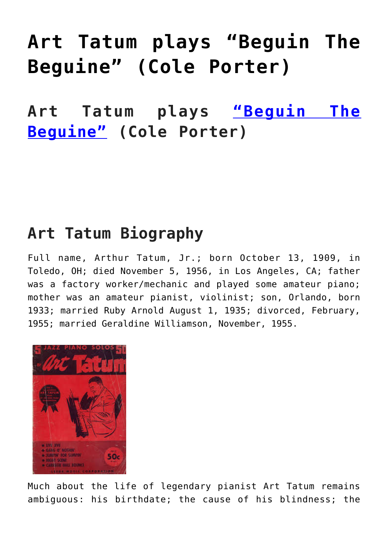# **[Art Tatum plays "Beguin The](https://sheetmusiclibrary.website/2021/09/03/art-tatum-sheet-music-2/) [Beguine" \(Cole Porter\)](https://sheetmusiclibrary.website/2021/09/03/art-tatum-sheet-music-2/)**

**Art Tatum plays ["Beguin The](https://vimeo.com/597264620) [Beguine"](https://vimeo.com/597264620) (Cole Porter)**

#### **Art Tatum Biography**

Full name, Arthur Tatum, Jr.; born October 13, 1909, in Toledo, OH; died November 5, 1956, in Los Angeles, CA; father was a factory worker/mechanic and played some amateur piano; mother was an amateur pianist, violinist; son, Orlando, born 1933; married Ruby Arnold August 1, 1935; divorced, February, 1955; married Geraldine Williamson, November, 1955.



Much about the life of legendary pianist Art Tatum remains ambiguous: his birthdate; the cause of his blindness; the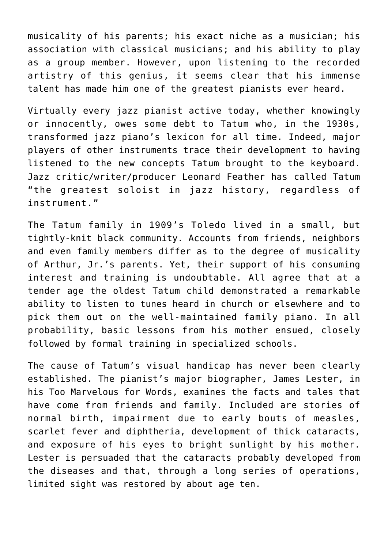musicality of his parents; his exact niche as a musician; his association with classical musicians; and his ability to play as a group member. However, upon listening to the recorded artistry of this genius, it seems clear that his immense talent has made him one of the greatest pianists ever heard.

Virtually every jazz pianist active today, whether knowingly or innocently, owes some debt to Tatum who, in the 1930s, transformed jazz piano's lexicon for all time. Indeed, major players of other instruments trace their development to having listened to the new concepts Tatum brought to the keyboard. Jazz critic/writer/producer Leonard Feather has called Tatum "the greatest soloist in jazz history, regardless of instrument."

The Tatum family in 1909's Toledo lived in a small, but tightly-knit black community. Accounts from friends, neighbors and even family members differ as to the degree of musicality of Arthur, Jr.'s parents. Yet, their support of his consuming interest and training is undoubtable. All agree that at a tender age the oldest Tatum child demonstrated a remarkable ability to listen to tunes heard in church or elsewhere and to pick them out on the well-maintained family piano. In all probability, basic lessons from his mother ensued, closely followed by formal training in specialized schools.

The cause of Tatum's visual handicap has never been clearly established. The pianist's major biographer, James Lester, in his Too Marvelous for Words, examines the facts and tales that have come from friends and family. Included are stories of normal birth, impairment due to early bouts of measles, scarlet fever and diphtheria, development of thick cataracts, and exposure of his eyes to bright sunlight by his mother. Lester is persuaded that the cataracts probably developed from the diseases and that, through a long series of operations, limited sight was restored by about age ten.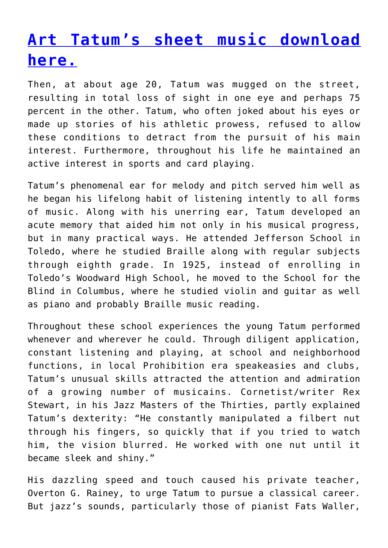## **[Art Tatum's sheet music download](https://sheetmusiclibrary.website) [here.](https://sheetmusiclibrary.website)**

Then, at about age 20, Tatum was mugged on the street, resulting in total loss of sight in one eye and perhaps 75 percent in the other. Tatum, who often joked about his eyes or made up stories of his athletic prowess, refused to allow these conditions to detract from the pursuit of his main interest. Furthermore, throughout his life he maintained an active interest in sports and card playing.

Tatum's phenomenal ear for melody and pitch served him well as he began his lifelong habit of listening intently to all forms of music. Along with his unerring ear, Tatum developed an acute memory that aided him not only in his musical progress, but in many practical ways. He attended Jefferson School in Toledo, where he studied Braille along with regular subjects through eighth grade. In 1925, instead of enrolling in Toledo's Woodward High School, he moved to the School for the Blind in Columbus, where he studied violin and guitar as well as piano and probably Braille music reading.

Throughout these school experiences the young Tatum performed whenever and wherever he could. Through diligent application, constant listening and playing, at school and neighborhood functions, in local Prohibition era speakeasies and clubs, Tatum's unusual skills attracted the attention and admiration of a growing number of musicains. Cornetist/writer Rex Stewart, in his Jazz Masters of the Thirties, partly explained Tatum's dexterity: "He constantly manipulated a filbert nut through his fingers, so quickly that if you tried to watch him, the vision blurred. He worked with one nut until it became sleek and shiny."

His dazzling speed and touch caused his private teacher, Overton G. Rainey, to urge Tatum to pursue a classical career. But jazz's sounds, particularly those of pianist Fats Waller,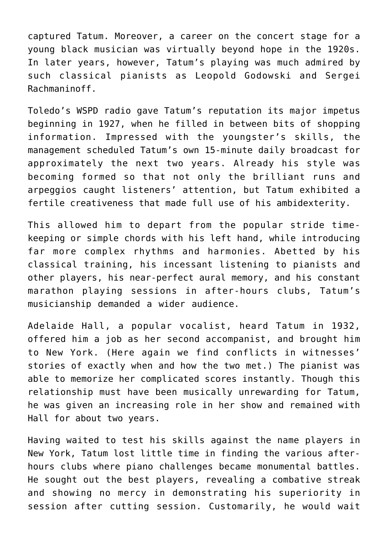captured Tatum. Moreover, a career on the concert stage for a young black musician was virtually beyond hope in the 1920s. In later years, however, Tatum's playing was much admired by such classical pianists as Leopold Godowski and Sergei Rachmaninoff.

Toledo's WSPD radio gave Tatum's reputation its major impetus beginning in 1927, when he filled in between bits of shopping information. Impressed with the youngster's skills, the management scheduled Tatum's own 15-minute daily broadcast for approximately the next two years. Already his style was becoming formed so that not only the brilliant runs and arpeggios caught listeners' attention, but Tatum exhibited a fertile creativeness that made full use of his ambidexterity.

This allowed him to depart from the popular stride timekeeping or simple chords with his left hand, while introducing far more complex rhythms and harmonies. Abetted by his classical training, his incessant listening to pianists and other players, his near-perfect aural memory, and his constant marathon playing sessions in after-hours clubs, Tatum's musicianship demanded a wider audience.

Adelaide Hall, a popular vocalist, heard Tatum in 1932, offered him a job as her second accompanist, and brought him to New York. (Here again we find conflicts in witnesses' stories of exactly when and how the two met.) The pianist was able to memorize her complicated scores instantly. Though this relationship must have been musically unrewarding for Tatum, he was given an increasing role in her show and remained with Hall for about two years.

Having waited to test his skills against the name players in New York, Tatum lost little time in finding the various afterhours clubs where piano challenges became monumental battles. He sought out the best players, revealing a combative streak and showing no mercy in demonstrating his superiority in session after cutting session. Customarily, he would wait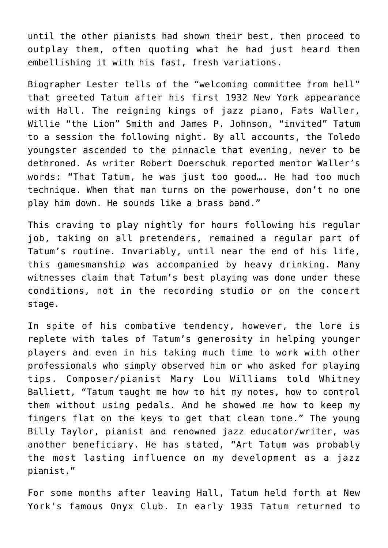until the other pianists had shown their best, then proceed to outplay them, often quoting what he had just heard then embellishing it with his fast, fresh variations.

Biographer Lester tells of the "welcoming committee from hell" that greeted Tatum after his first 1932 New York appearance with Hall. The reigning kings of jazz piano, Fats Waller, Willie "the Lion" Smith and James P. Johnson, "invited" Tatum to a session the following night. By all accounts, the Toledo youngster ascended to the pinnacle that evening, never to be dethroned. As writer Robert Doerschuk reported mentor Waller's words: "That Tatum, he was just too good…. He had too much technique. When that man turns on the powerhouse, don't no one play him down. He sounds like a brass band."

This craving to play nightly for hours following his regular job, taking on all pretenders, remained a regular part of Tatum's routine. Invariably, until near the end of his life, this gamesmanship was accompanied by heavy drinking. Many witnesses claim that Tatum's best playing was done under these conditions, not in the recording studio or on the concert stage.

In spite of his combative tendency, however, the lore is replete with tales of Tatum's generosity in helping younger players and even in his taking much time to work with other professionals who simply observed him or who asked for playing tips. Composer/pianist Mary Lou Williams told Whitney Balliett, "Tatum taught me how to hit my notes, how to control them without using pedals. And he showed me how to keep my fingers flat on the keys to get that clean tone." The young Billy Taylor, pianist and renowned jazz educator/writer, was another beneficiary. He has stated, "Art Tatum was probably the most lasting influence on my development as a jazz pianist."

For some months after leaving Hall, Tatum held forth at New York's famous Onyx Club. In early 1935 Tatum returned to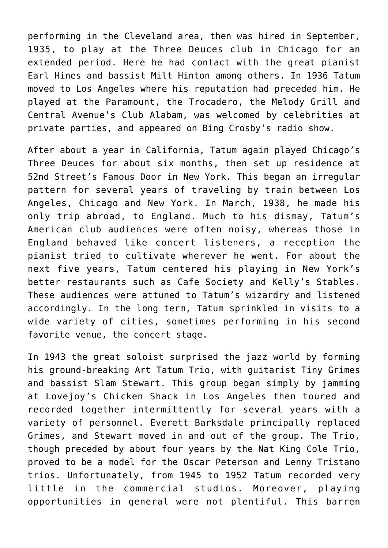performing in the Cleveland area, then was hired in September, 1935, to play at the Three Deuces club in Chicago for an extended period. Here he had contact with the great pianist Earl Hines and bassist Milt Hinton among others. In 1936 Tatum moved to Los Angeles where his reputation had preceded him. He played at the Paramount, the Trocadero, the Melody Grill and Central Avenue's Club Alabam, was welcomed by celebrities at private parties, and appeared on Bing Crosby's radio show.

After about a year in California, Tatum again played Chicago's Three Deuces for about six months, then set up residence at 52nd Street's Famous Door in New York. This began an irregular pattern for several years of traveling by train between Los Angeles, Chicago and New York. In March, 1938, he made his only trip abroad, to England. Much to his dismay, Tatum's American club audiences were often noisy, whereas those in England behaved like concert listeners, a reception the pianist tried to cultivate wherever he went. For about the next five years, Tatum centered his playing in New York's better restaurants such as Cafe Society and Kelly's Stables. These audiences were attuned to Tatum's wizardry and listened accordingly. In the long term, Tatum sprinkled in visits to a wide variety of cities, sometimes performing in his second favorite venue, the concert stage.

In 1943 the great soloist surprised the jazz world by forming his ground-breaking Art Tatum Trio, with guitarist Tiny Grimes and bassist Slam Stewart. This group began simply by jamming at Lovejoy's Chicken Shack in Los Angeles then toured and recorded together intermittently for several years with a variety of personnel. Everett Barksdale principally replaced Grimes, and Stewart moved in and out of the group. The Trio, though preceded by about four years by the Nat King Cole Trio, proved to be a model for the Oscar Peterson and Lenny Tristano trios. Unfortunately, from 1945 to 1952 Tatum recorded very little in the commercial studios. Moreover, playing opportunities in general were not plentiful. This barren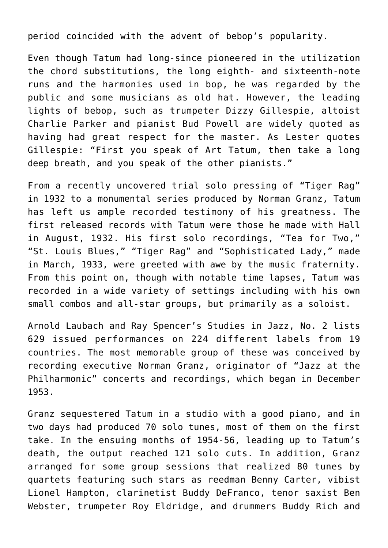period coincided with the advent of bebop's popularity.

Even though Tatum had long-since pioneered in the utilization the chord substitutions, the long eighth- and sixteenth-note runs and the harmonies used in bop, he was regarded by the public and some musicians as old hat. However, the leading lights of bebop, such as trumpeter Dizzy Gillespie, altoist Charlie Parker and pianist Bud Powell are widely quoted as having had great respect for the master. As Lester quotes Gillespie: "First you speak of Art Tatum, then take a long deep breath, and you speak of the other pianists."

From a recently uncovered trial solo pressing of "Tiger Rag" in 1932 to a monumental series produced by Norman Granz, Tatum has left us ample recorded testimony of his greatness. The first released records with Tatum were those he made with Hall in August, 1932. His first solo recordings, "Tea for Two," "St. Louis Blues," "Tiger Rag" and "Sophisticated Lady," made in March, 1933, were greeted with awe by the music fraternity. From this point on, though with notable time lapses, Tatum was recorded in a wide variety of settings including with his own small combos and all-star groups, but primarily as a soloist.

Arnold Laubach and Ray Spencer's Studies in Jazz, No. 2 lists 629 issued performances on 224 different labels from 19 countries. The most memorable group of these was conceived by recording executive Norman Granz, originator of "Jazz at the Philharmonic" concerts and recordings, which began in December 1953.

Granz sequestered Tatum in a studio with a good piano, and in two days had produced 70 solo tunes, most of them on the first take. In the ensuing months of 1954-56, leading up to Tatum's death, the output reached 121 solo cuts. In addition, Granz arranged for some group sessions that realized 80 tunes by quartets featuring such stars as reedman Benny Carter, vibist Lionel Hampton, clarinetist Buddy DeFranco, tenor saxist Ben Webster, trumpeter Roy Eldridge, and drummers Buddy Rich and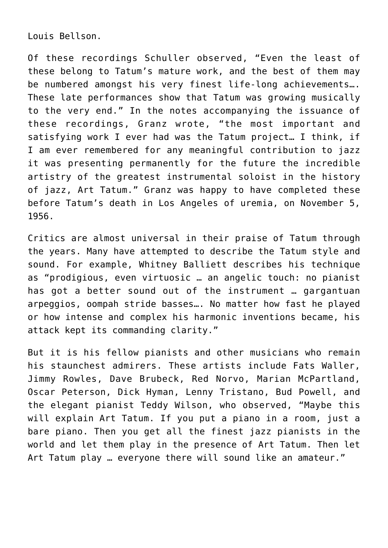Louis Bellson.

Of these recordings Schuller observed, "Even the least of these belong to Tatum's mature work, and the best of them may be numbered amongst his very finest life-long achievements…. These late performances show that Tatum was growing musically to the very end." In the notes accompanying the issuance of these recordings, Granz wrote, "the most important and satisfying work I ever had was the Tatum project… I think, if I am ever remembered for any meaningful contribution to jazz it was presenting permanently for the future the incredible artistry of the greatest instrumental soloist in the history of jazz, Art Tatum." Granz was happy to have completed these before Tatum's death in Los Angeles of uremia, on November 5, 1956.

Critics are almost universal in their praise of Tatum through the years. Many have attempted to describe the Tatum style and sound. For example, Whitney Balliett describes his technique as "prodigious, even virtuosic … an angelic touch: no pianist has got a better sound out of the instrument … gargantuan arpeggios, oompah stride basses…. No matter how fast he played or how intense and complex his harmonic inventions became, his attack kept its commanding clarity."

But it is his fellow pianists and other musicians who remain his staunchest admirers. These artists include Fats Waller, Jimmy Rowles, Dave Brubeck, Red Norvo, Marian McPartland, Oscar Peterson, Dick Hyman, Lenny Tristano, Bud Powell, and the elegant pianist Teddy Wilson, who observed, "Maybe this will explain Art Tatum. If you put a piano in a room, just a bare piano. Then you get all the finest jazz pianists in the world and let them play in the presence of Art Tatum. Then let Art Tatum play … everyone there will sound like an amateur."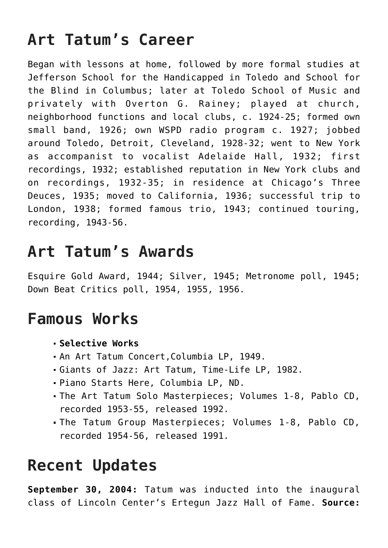## **Art Tatum's Career**

Began with lessons at home, followed by more formal studies at Jefferson School for the Handicapped in Toledo and School for the Blind in Columbus; later at Toledo School of Music and privately with Overton G. Rainey; played at church, neighborhood functions and local clubs, c. 1924-25; formed own small band, 1926; own WSPD radio program c. 1927; jobbed around Toledo, Detroit, Cleveland, 1928-32; went to New York as accompanist to vocalist Adelaide Hall, 1932; first recordings, 1932; established reputation in New York clubs and on recordings, 1932-35; in residence at Chicago's Three Deuces, 1935; moved to California, 1936; successful trip to London, 1938; formed famous trio, 1943; continued touring, recording, 1943-56.

#### **Art Tatum's Awards**

Esquire Gold Award, 1944; Silver, 1945; Metronome poll, 1945; Down Beat Critics poll, 1954, 1955, 1956.

#### **Famous Works**

- **Selective Works**
- An Art Tatum Concert,Columbia LP, 1949.
- Giants of Jazz: Art Tatum, Time-Life LP, 1982.
- Piano Starts Here, Columbia LP, ND.
- The Art Tatum Solo Masterpieces; Volumes 1-8, Pablo CD, recorded 1953-55, released 1992.
- The Tatum Group Masterpieces; Volumes 1-8, Pablo CD, recorded 1954-56, released 1991.

## **Recent Updates**

**September 30, 2004:** Tatum was inducted into the inaugural class of Lincoln Center's Ertegun Jazz Hall of Fame. **Source:**